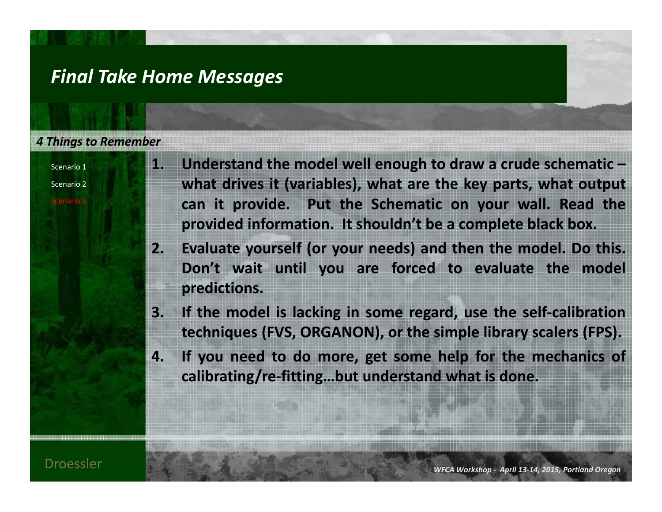### *Final Take Home Messages*

#### *4 Things to Remember*

Scenario 1

Scenario 2

Scenario 3

- **1. Understand the model well enough to draw <sup>a</sup> crude schematic – what drives it (variables), what are the key parts, what output can it provide. Put the Schematic on your wall. Read the provided information. It shouldn't be <sup>a</sup> complete black box.**
- 2. Evaluate yourself (or your needs) and then the model. Do this. **Don't wait until you are forced to evaluate the model predictions.**
- 3. If the model is lacking in some regard, use the self-calibration **techniques (FVS, ORGANON), or the simple library scalers (FPS).**
- 4. If you need to do more, get some help for the mechanics of **calibrating/re‐fitting…but understand what is done.**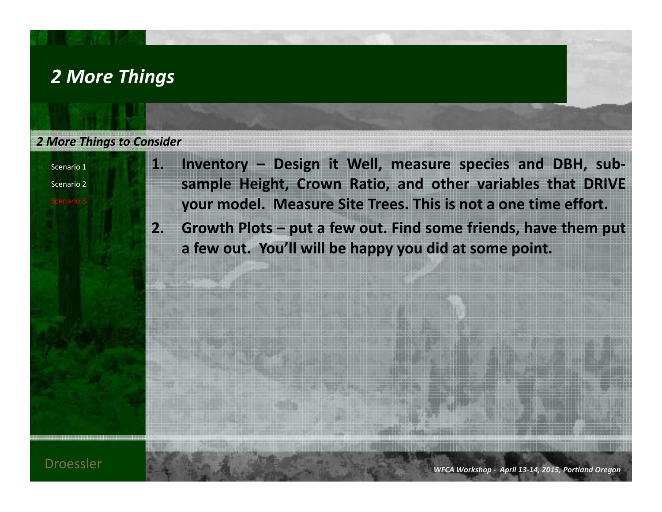## *2 More Things*

#### *2 More Things to Consider*

Scenario 1

Scenario 2

Scenario 3

**1. Inventory – Design it Well, measure species and DBH, sub‐ sample Height, Crown Ratio, and other variables that DRIVE your model. Measure Site Trees. This is not <sup>a</sup> one time effort.**

2. Growth Plots – put a few out. Find some friends, have them put **<sup>a</sup> few out. You'll will be happy you did at some point.**

**WECAUTION IS A REPORT OF A REPORT OF A REPORT OF A REPORT OF A REPORT OF A REPORT OF A REPORT OF A REPORT OF A REPORT OF A REPORT OF A REPORT OF A REPORT OF A REPORT OF A REPORT OF A REPORT OF A REPORT OF A REPORT OF A RE** *Workshop ‐ April 13‐14, 2015, Portland Oregon*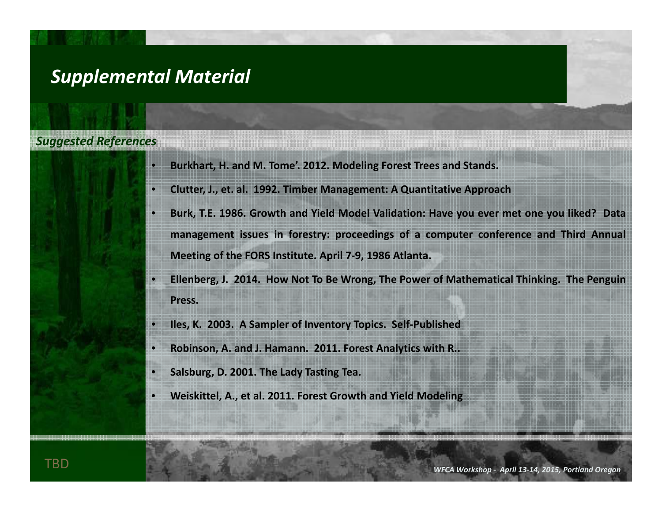## *Supplemental Material*

#### *Suggested References*

- •**Burkhart, H. and M. Tome'. 2012. Modeling Forest Trees and Stands.**
- •**Clutter, J., et. al. 1992. Timber Management: A Quantitative Approach**
- •Burk, T.E. 1986. Growth and Yield Model Validation: Have you ever met one you liked? Data management issues in forestry: proceedings of a computer conference and Third Annual **Meeting of the FORS Institute. April 7‐9, 1986 Atlanta.**
- •Ellenberg, J. 2014. How Not To Be Wrong, The Power of Mathematical Thinking. The Penguin **Press.**
- $\bullet$ **Iles, K. 2003. A Sampler of Inventory Topics. Self‐Published**
- •**Robinson, A. and J. Hamann. 2011. Forest Analytics with R..**
- •**Salsburg, D. 2001. The Lady Tasting Tea.**
- •**Weiskittel, A., et al. 2011. Forest Growth and Yield Modeling**